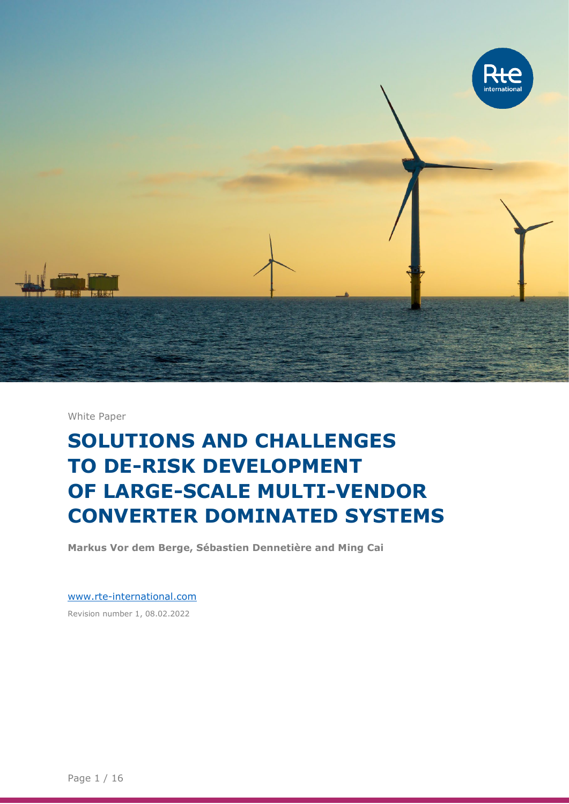

White Paper

# **SOLUTIONS AND CHALLENGES TO DE-RISK DEVELOPMENT OF LARGE-SCALE MULTI-VENDOR CONVERTER DOMINATED SYSTEMS**

**Markus Vor dem Berge, Sébastien Dennetière and Ming Cai**

[www.rte-international.com](http://www.rte-international.com/) Revision number 1, 08.02.2022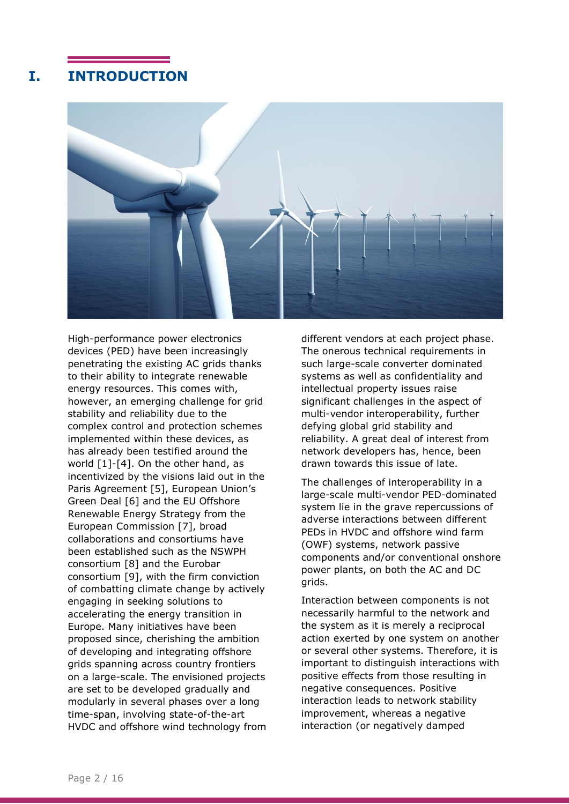## **I. INTRODUCTION**



High-performance power electronics devices (PED) have been increasingly penetrating the existing AC grids thanks to their ability to integrate renewable energy resources. This comes with, however, an emerging challenge for grid stability and reliability due to the complex control and protection schemes implemented within these devices, as has already been testified around the world [\[1\]-](#page-13-0)[\[4\].](#page-13-1) On the other hand, as incentivized by the visions laid out in the Paris Agreement [\[5\],](#page-13-2) European Union's Green Deal [\[6\]](#page-13-3) and the EU Offshore Renewable Energy Strategy from the European Commission [\[7\],](#page-13-4) broad collaborations and consortiums have been established such as the NSWPH consortium [\[8\]](#page-13-5) and the Eurobar consortium [\[9\],](#page-13-6) with the firm conviction of combatting climate change by actively engaging in seeking solutions to accelerating the energy transition in Europe. Many initiatives have been proposed since, cherishing the ambition of developing and integrating offshore grids spanning across country frontiers on a large-scale. The envisioned projects are set to be developed gradually and modularly in several phases over a long time-span, involving state-of-the-art HVDC and offshore wind technology from

different vendors at each project phase. The onerous technical requirements in such large-scale converter dominated systems as well as confidentiality and intellectual property issues raise significant challenges in the aspect of multi-vendor interoperability, further defying global grid stability and reliability. A great deal of interest from network developers has, hence, been drawn towards this issue of late.

The challenges of interoperability in a large-scale multi-vendor PED-dominated system lie in the grave repercussions of adverse interactions between different PEDs in HVDC and offshore wind farm (OWF) systems, network passive components and/or conventional onshore power plants, on both the AC and DC grids.

Interaction between components is not necessarily harmful to the network and the system as it is merely a reciprocal action exerted by one system on another or several other systems. Therefore, it is important to distinguish interactions with positive effects from those resulting in negative consequences. Positive interaction leads to network stability improvement, whereas a negative interaction (or negatively damped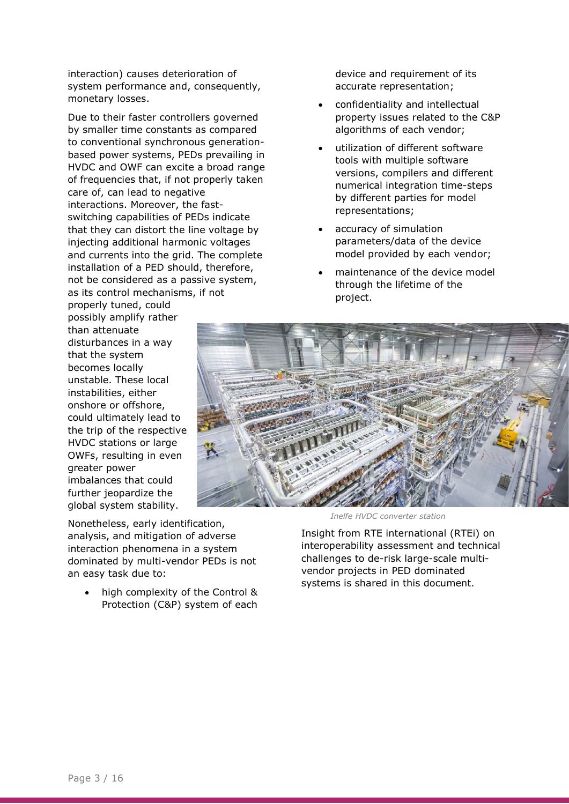interaction) causes deterioration of system performance and, consequently, monetary losses.

Due to their faster controllers governed by smaller time constants as compared to conventional synchronous generationbased power systems, PEDs prevailing in HVDC and OWF can excite a broad range of frequencies that, if not properly taken care of, can lead to negative interactions. Moreover, the fastswitching capabilities of PEDs indicate that they can distort the line voltage by injecting additional harmonic voltages and currents into the grid. The complete installation of a PED should, therefore, not be considered as a passive system, as its control mechanisms, if not

properly tuned, could possibly amplify rather than attenuate disturbances in a way that the system becomes locally unstable. These local instabilities, either onshore or offshore, could ultimately lead to the trip of the respective HVDC stations or large OWFs, resulting in even greater power imbalances that could further jeopardize the global system stability.

Nonetheless, early identification, analysis, and mitigation of adverse interaction phenomena in a system dominated by multi-vendor PEDs is not an easy task due to:

• high complexity of the Control & Protection (C&P) system of each device and requirement of its accurate representation;

- confidentiality and intellectual property issues related to the C&P algorithms of each vendor;
- utilization of different software tools with multiple software versions, compilers and different numerical integration time-steps by different parties for model representations;
- accuracy of simulation parameters/data of the device model provided by each vendor;
- maintenance of the device model through the lifetime of the project.



*Inelfe HVDC converter station*

Insight from RTE international (RTEi) on interoperability assessment and technical challenges to de-risk large-scale multivendor projects in PED dominated systems is shared in this document.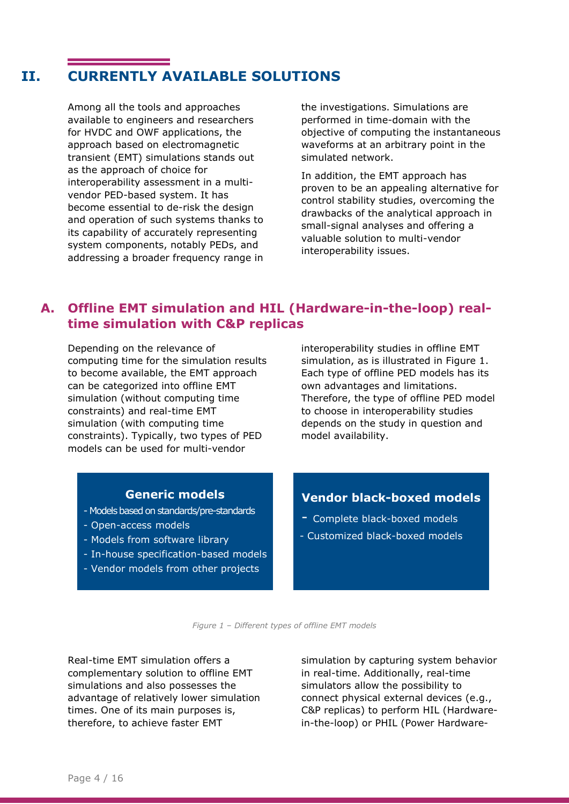## **II. CURRENTLY AVAILABLE SOLUTIONS**

Among all the tools and approaches available to engineers and researchers for HVDC and OWF applications, the approach based on electromagnetic transient (EMT) simulations stands out as the approach of choice for interoperability assessment in a multivendor PED-based system. It has become essential to de-risk the design and operation of such systems thanks to its capability of accurately representing system components, notably PEDs, and addressing a broader frequency range in

the investigations. Simulations are performed in time-domain with the objective of computing the instantaneous waveforms at an arbitrary point in the simulated network.

In addition, the EMT approach has proven to be an appealing alternative for control stability studies, overcoming the drawbacks of the analytical approach in small-signal analyses and offering a valuable solution to multi-vendor interoperability issues.

#### **A. Offline EMT simulation and HIL (Hardware-in-the-loop) realtime simulation with C&P replicas**

Depending on the relevance of computing time for the simulation results to become available, the EMT approach can be categorized into offline EMT simulation (without computing time constraints) and real-time EMT simulation (with computing time constraints). Typically, two types of PED models can be used for multi-vendor

interoperability studies in offline EMT simulation, as is illustrated in [Figure 1.](#page-3-0) Each type of offline PED models has its own advantages and limitations. Therefore, the type of offline PED model to choose in interoperability studies depends on the study in question and model availability.

#### **Generic models**

- Models based on standards/pre-standards
- Open-access models
- Models from software library
- In-house specification-based models
- Vendor models from other projects

#### **Vendor black-boxed models**

- Complete black-boxed models
- Customized black-boxed models

*Figure 1 – Different types of offline EMT models*

<span id="page-3-0"></span>Real-time EMT simulation offers a complementary solution to offline EMT simulations and also possesses the advantage of relatively lower simulation times. One of its main purposes is, therefore, to achieve faster EMT

simulation by capturing system behavior in real-time. Additionally, real-time simulators allow the possibility to connect physical external devices (e.g., C&P replicas) to perform HIL (Hardwarein-the-loop) or PHIL (Power Hardware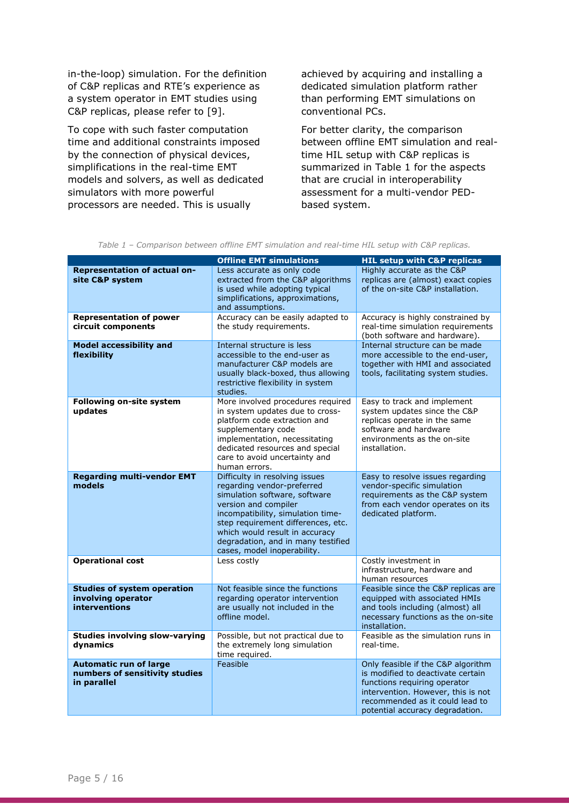in-the-loop) simulation. For the definition of C&P replicas and RTE's experience as a system operator in EMT studies using C&P replicas, please refer to [\[9\].](#page-13-6)

To cope with such faster computation time and additional constraints imposed by the connection of physical devices, simplifications in the real-time EMT models and solvers, as well as dedicated simulators with more powerful processors are needed. This is usually

achieved by acquiring and installing a dedicated simulation platform rather than performing EMT simulations on conventional PCs.

<span id="page-4-0"></span>For better clarity, the comparison between offline EMT simulation and realtime HIL setup with C&P replicas is summarized in Table 1 for the aspects that are crucial in interoperability assessment for a multi-vendor PEDbased system.

|                                                                                | <b>Offline EMT simulations</b>                                                                                                                                                                                                                                                                          | <b>HIL setup with C&amp;P replicas</b>                                                                                                                                                                              |
|--------------------------------------------------------------------------------|---------------------------------------------------------------------------------------------------------------------------------------------------------------------------------------------------------------------------------------------------------------------------------------------------------|---------------------------------------------------------------------------------------------------------------------------------------------------------------------------------------------------------------------|
| <b>Representation of actual on-</b><br>site C&P system                         | Less accurate as only code<br>extracted from the C&P algorithms<br>is used while adopting typical<br>simplifications, approximations,<br>and assumptions.                                                                                                                                               | Highly accurate as the C&P<br>replicas are (almost) exact copies<br>of the on-site C&P installation.                                                                                                                |
| <b>Representation of power</b><br>circuit components                           | Accuracy can be easily adapted to<br>the study requirements.                                                                                                                                                                                                                                            | Accuracy is highly constrained by<br>real-time simulation requirements<br>(both software and hardware).                                                                                                             |
| <b>Model accessibility and</b><br>flexibility                                  | Internal structure is less<br>accessible to the end-user as<br>manufacturer C&P models are<br>usually black-boxed, thus allowing<br>restrictive flexibility in system<br>studies.                                                                                                                       | Internal structure can be made<br>more accessible to the end-user,<br>together with HMI and associated<br>tools, facilitating system studies.                                                                       |
| Following on-site system<br>updates                                            | More involved procedures required<br>in system updates due to cross-<br>platform code extraction and<br>supplementary code<br>implementation, necessitating<br>dedicated resources and special<br>care to avoid uncertainty and<br>human errors.                                                        | Easy to track and implement<br>system updates since the C&P<br>replicas operate in the same<br>software and hardware<br>environments as the on-site<br>installation.                                                |
| <b>Regarding multi-vendor EMT</b><br>models                                    | Difficulty in resolving issues<br>regarding vendor-preferred<br>simulation software, software<br>version and compiler<br>incompatibility, simulation time-<br>step requirement differences, etc.<br>which would result in accuracy<br>degradation, and in many testified<br>cases, model inoperability. | Easy to resolve issues regarding<br>vendor-specific simulation<br>requirements as the C&P system<br>from each vendor operates on its<br>dedicated platform.                                                         |
| <b>Operational cost</b>                                                        | Less costly                                                                                                                                                                                                                                                                                             | Costly investment in<br>infrastructure, hardware and<br>human resources                                                                                                                                             |
| <b>Studies of system operation</b><br>involving operator<br>interventions      | Not feasible since the functions<br>regarding operator intervention<br>are usually not included in the<br>offline model.                                                                                                                                                                                | Feasible since the C&P replicas are<br>equipped with associated HMIs<br>and tools including (almost) all<br>necessary functions as the on-site<br>installation.                                                     |
| <b>Studies involving slow-varying</b><br>dynamics                              | Possible, but not practical due to<br>the extremely long simulation<br>time required.                                                                                                                                                                                                                   | Feasible as the simulation runs in<br>real-time.                                                                                                                                                                    |
| <b>Automatic run of large</b><br>numbers of sensitivity studies<br>in parallel | Feasible                                                                                                                                                                                                                                                                                                | Only feasible if the C&P algorithm<br>is modified to deactivate certain<br>functions requiring operator<br>intervention. However, this is not<br>recommended as it could lead to<br>potential accuracy degradation. |

*Table 1 – Comparison between offline EMT simulation and real-time HIL setup with C&P replicas.*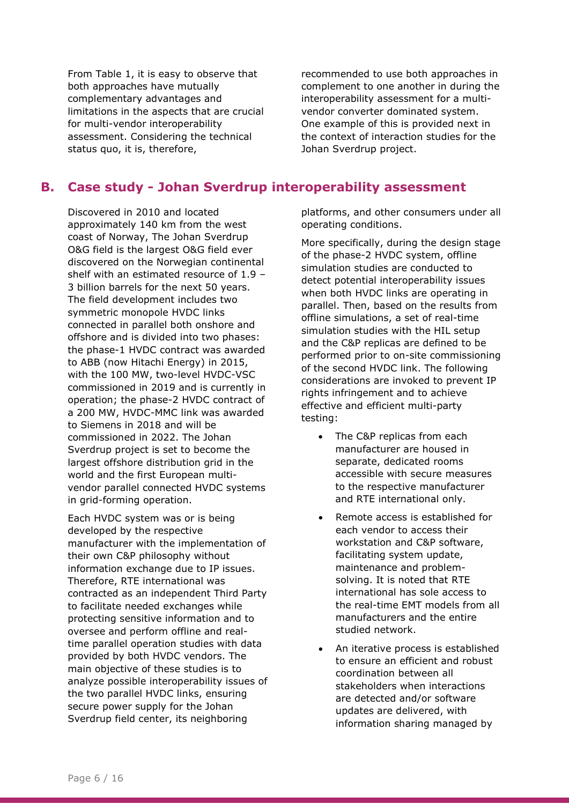[From Table 1,](#page-4-0) it is easy to observe that both approaches have mutually complementary advantages and limitations in the aspects that are crucial for multi-vendor interoperability assessment. Considering the technical status quo, it is, therefore,

recommended to use both approaches in complement to one another in during the interoperability assessment for a multivendor converter dominated system. One example of this is provided next in the context of interaction studies for the Johan Sverdrup project.

### **B. Case study - Johan Sverdrup interoperability assessment**

Discovered in 2010 and located approximately 140 km from the west coast of Norway, The Johan Sverdrup O&G field is the largest O&G field ever discovered on the Norwegian continental shelf with an estimated resource of 1.9 – 3 billion barrels for the next 50 years. The field development includes two symmetric monopole HVDC links connected in parallel both onshore and offshore and is divided into two phases: the phase-1 HVDC contract was awarded to ABB (now Hitachi Energy) in 2015, with the 100 MW, two-level HVDC-VSC commissioned in 2019 and is currently in operation; the phase-2 HVDC contract of a 200 MW, HVDC-MMC link was awarded to Siemens in 2018 and will be commissioned in 2022. The Johan Sverdrup project is set to become the largest offshore distribution grid in the world and the first European multivendor parallel connected HVDC systems in grid-forming operation.

Each HVDC system was or is being developed by the respective manufacturer with the implementation of their own C&P philosophy without information exchange due to IP issues. Therefore, RTE international was contracted as an independent Third Party to facilitate needed exchanges while protecting sensitive information and to oversee and perform offline and realtime parallel operation studies with data provided by both HVDC vendors. The main objective of these studies is to analyze possible interoperability issues of the two parallel HVDC links, ensuring secure power supply for the Johan Sverdrup field center, its neighboring

platforms, and other consumers under all operating conditions.

More specifically, during the design stage of the phase-2 HVDC system, offline simulation studies are conducted to detect potential interoperability issues when both HVDC links are operating in parallel. Then, based on the results from offline simulations, a set of real-time simulation studies with the HIL setup and the C&P replicas are defined to be performed prior to on-site commissioning of the second HVDC link. The following considerations are invoked to prevent IP rights infringement and to achieve effective and efficient multi-party testing:

- The C&P replicas from each manufacturer are housed in separate, dedicated rooms accessible with secure measures to the respective manufacturer and RTE international only.
- Remote access is established for each vendor to access their workstation and C&P software, facilitating system update, maintenance and problemsolving. It is noted that RTE international has sole access to the real-time EMT models from all manufacturers and the entire studied network.
- An iterative process is established to ensure an efficient and robust coordination between all stakeholders when interactions are detected and/or software updates are delivered, with information sharing managed by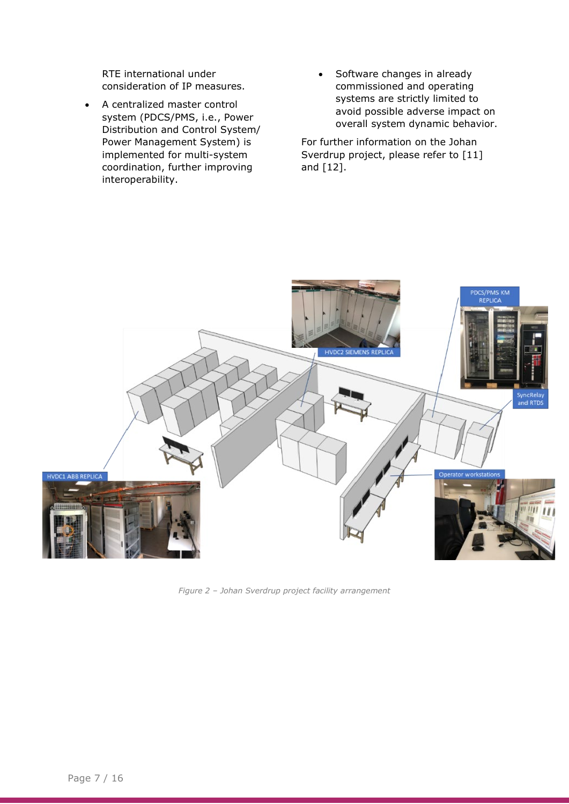RTE international under consideration of IP measures.

- A centralized master control system (PDCS/PMS, i.e., Power Distribution and Control System/ Power Management System) is implemented for multi-system coordination, further improving interoperability.
- Software changes in already commissioned and operating systems are strictly limited to avoid possible adverse impact on overall system dynamic behavior.

For further information on the Johan Sverdrup project, please refer to [\[11\]](#page-13-7) and [\[12\].](#page-13-8)



*Figure 2 – Johan Sverdrup project facility arrangement*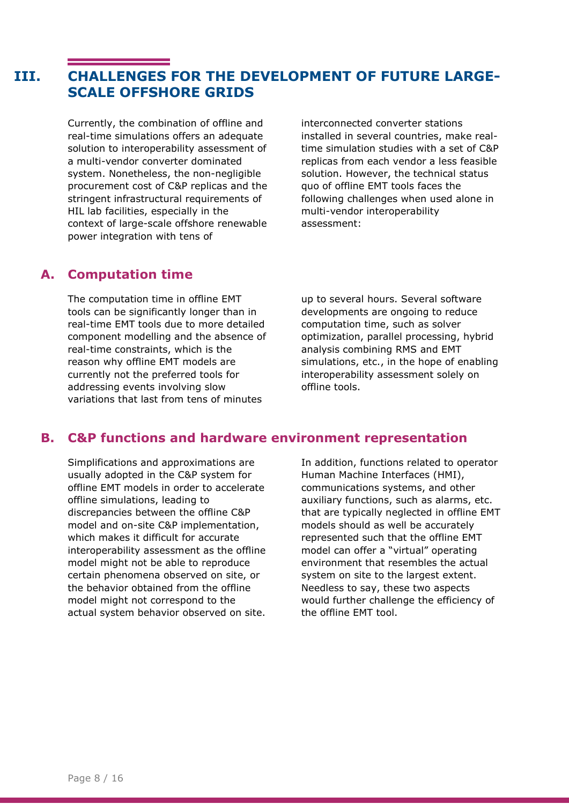# **III. CHALLENGES FOR THE DEVELOPMENT OF FUTURE LARGE-SCALE OFFSHORE GRIDS**

Currently, the combination of offline and real-time simulations offers an adequate solution to interoperability assessment of a multi-vendor converter dominated system. Nonetheless, the non-negligible procurement cost of C&P replicas and the stringent infrastructural requirements of HIL lab facilities, especially in the context of large-scale offshore renewable power integration with tens of

interconnected converter stations installed in several countries, make realtime simulation studies with a set of C&P replicas from each vendor a less feasible solution. However, the technical status quo of offline EMT tools faces the following challenges when used alone in multi-vendor interoperability assessment:

#### **A. Computation time**

The computation time in offline EMT tools can be significantly longer than in real-time EMT tools due to more detailed component modelling and the absence of real-time constraints, which is the reason why offline EMT models are currently not the preferred tools for addressing events involving slow variations that last from tens of minutes

up to several hours. Several software developments are ongoing to reduce computation time, such as solver optimization, parallel processing, hybrid analysis combining RMS and EMT simulations, etc., in the hope of enabling interoperability assessment solely on offline tools.

#### **B. C&P functions and hardware environment representation**

Simplifications and approximations are usually adopted in the C&P system for offline EMT models in order to accelerate offline simulations, leading to discrepancies between the offline C&P model and on-site C&P implementation, which makes it difficult for accurate interoperability assessment as the offline model might not be able to reproduce certain phenomena observed on site, or the behavior obtained from the offline model might not correspond to the actual system behavior observed on site.

In addition, functions related to operator Human Machine Interfaces (HMI), communications systems, and other auxiliary functions, such as alarms, etc. that are typically neglected in offline EMT models should as well be accurately represented such that the offline EMT model can offer a "virtual" operating environment that resembles the actual system on site to the largest extent. Needless to say, these two aspects would further challenge the efficiency of the offline EMT tool.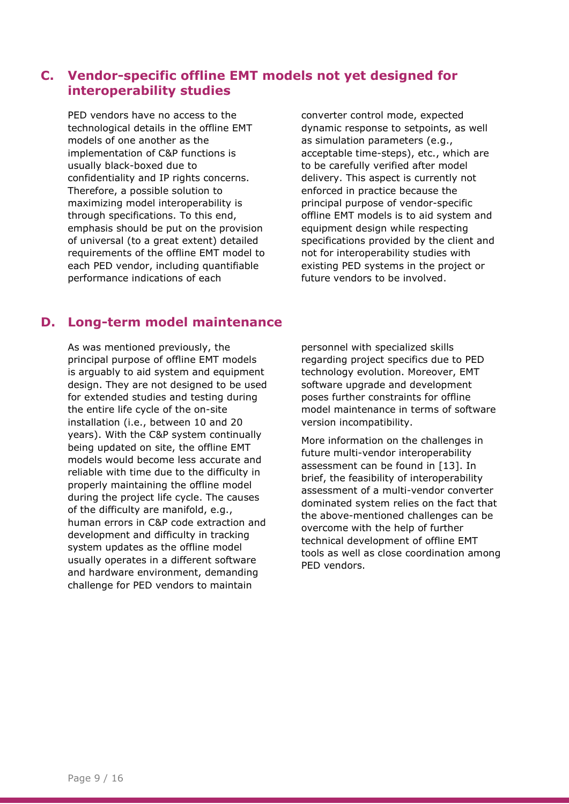#### **C. Vendor-specific offline EMT models not yet designed for interoperability studies**

PED vendors have no access to the technological details in the offline EMT models of one another as the implementation of C&P functions is usually black-boxed due to confidentiality and IP rights concerns. Therefore, a possible solution to maximizing model interoperability is through specifications. To this end, emphasis should be put on the provision of universal (to a great extent) detailed requirements of the offline EMT model to each PED vendor, including quantifiable performance indications of each

converter control mode, expected dynamic response to setpoints, as well as simulation parameters (e.g., acceptable time-steps), etc., which are to be carefully verified after model delivery. This aspect is currently not enforced in practice because the principal purpose of vendor-specific offline EMT models is to aid system and equipment design while respecting specifications provided by the client and not for interoperability studies with existing PED systems in the project or future vendors to be involved.

#### **D. Long-term model maintenance**

As was mentioned previously, the principal purpose of offline EMT models is arguably to aid system and equipment design. They are not designed to be used for extended studies and testing during the entire life cycle of the on-site installation (i.e., between 10 and 20 years). With the C&P system continually being updated on site, the offline EMT models would become less accurate and reliable with time due to the difficulty in properly maintaining the offline model during the project life cycle. The causes of the difficulty are manifold, e.g., human errors in C&P code extraction and development and difficulty in tracking system updates as the offline model usually operates in a different software and hardware environment, demanding challenge for PED vendors to maintain

personnel with specialized skills regarding project specifics due to PED technology evolution. Moreover, EMT software upgrade and development poses further constraints for offline model maintenance in terms of software version incompatibility.

More information on the challenges in future multi-vendor interoperability assessment can be found in [\[13\].](#page-13-9) In brief, the feasibility of interoperability assessment of a multi-vendor converter dominated system relies on the fact that the above-mentioned challenges can be overcome with the help of further technical development of offline EMT tools as well as close coordination among PED vendors.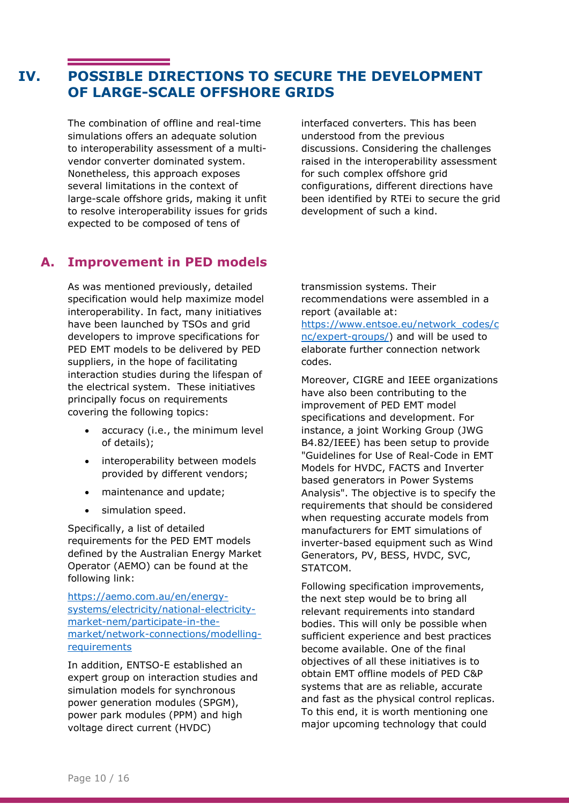# **IV. POSSIBLE DIRECTIONS TO SECURE THE DEVELOPMENT OF LARGE-SCALE OFFSHORE GRIDS**

The combination of offline and real-time simulations offers an adequate solution to interoperability assessment of a multivendor converter dominated system. Nonetheless, this approach exposes several limitations in the context of large-scale offshore grids, making it unfit to resolve interoperability issues for grids expected to be composed of tens of

interfaced converters. This has been understood from the previous discussions. Considering the challenges raised in the interoperability assessment for such complex offshore grid configurations, different directions have been identified by RTEi to secure the grid development of such a kind.

#### **A. Improvement in PED models**

As was mentioned previously, detailed specification would help maximize model interoperability. In fact, many initiatives have been launched by TSOs and grid developers to improve specifications for PED EMT models to be delivered by PED suppliers, in the hope of facilitating interaction studies during the lifespan of the electrical system. These initiatives principally focus on requirements covering the following topics:

- accuracy (i.e., the minimum level of details);
- interoperability between models provided by different vendors;
- maintenance and update;
- simulation speed.

Specifically, a list of detailed requirements for the PED EMT models defined by the Australian Energy Market Operator (AEMO) can be found at the following link:

[https://aemo.com.au/en/energy](https://aemo.com.au/en/energy-systems/electricity/national-electricity-market-nem/participate-in-the-market/network-connections/modelling-requirements)[systems/electricity/national-electricity](https://aemo.com.au/en/energy-systems/electricity/national-electricity-market-nem/participate-in-the-market/network-connections/modelling-requirements)[market-nem/participate-in-the](https://aemo.com.au/en/energy-systems/electricity/national-electricity-market-nem/participate-in-the-market/network-connections/modelling-requirements)[market/network-connections/modelling](https://aemo.com.au/en/energy-systems/electricity/national-electricity-market-nem/participate-in-the-market/network-connections/modelling-requirements)[requirements](https://aemo.com.au/en/energy-systems/electricity/national-electricity-market-nem/participate-in-the-market/network-connections/modelling-requirements)

In addition, ENTSO-E established an expert group on interaction studies and simulation models for synchronous power generation modules (SPGM), power park modules (PPM) and high voltage direct current (HVDC)

transmission systems. Their recommendations were assembled in a report (available at:

[https://www.entsoe.eu/network\\_codes/c](https://www.entsoe.eu/network_codes/cnc/expert-groups/) [nc/expert-groups/\)](https://www.entsoe.eu/network_codes/cnc/expert-groups/) and will be used to elaborate further connection network codes.

Moreover, CIGRE and IEEE organizations have also been contributing to the improvement of PED EMT model specifications and development. For instance, a joint Working Group (JWG B4.82/IEEE) has been setup to provide "Guidelines for Use of Real-Code in EMT Models for HVDC, FACTS and Inverter based generators in Power Systems Analysis". The objective is to specify the requirements that should be considered when requesting accurate models from manufacturers for EMT simulations of inverter-based equipment such as Wind Generators, PV, BESS, HVDC, SVC, STATCOM.

Following specification improvements, the next step would be to bring all relevant requirements into standard bodies. This will only be possible when sufficient experience and best practices become available. One of the final objectives of all these initiatives is to obtain EMT offline models of PED C&P systems that are as reliable, accurate and fast as the physical control replicas. To this end, it is worth mentioning one major upcoming technology that could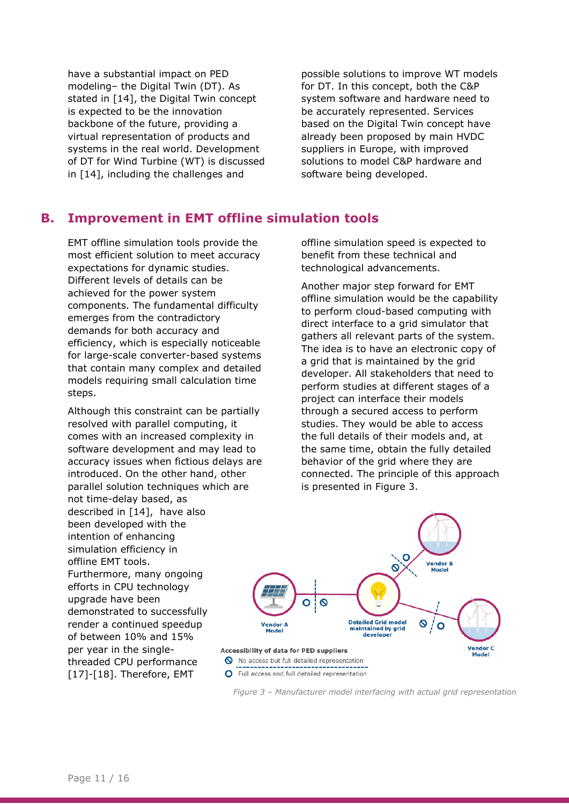have a substantial impact on PED modeling– the Digital Twin (DT). As stated in [\[14\],](#page-13-10) the Digital Twin concept is expected to be the innovation backbone of the future, providing a virtual representation of products and systems in the real world. Development of DT for Wind Turbine (WT) is discussed in [\[14\],](#page-13-10) including the challenges and

possible solutions to improve WT models for DT. In this concept, both the C&P system software and hardware need to be accurately represented. Services based on the Digital Twin concept have already been proposed by main HVDC suppliers in Europe, with improved solutions to model C&P hardware and software being developed.

## **B. Improvement in EMT offline simulation tools**

EMT offline simulation tools provide the most efficient solution to meet accuracy expectations for dynamic studies. Different levels of details can be achieved for the power system components. The fundamental difficulty emerges from the contradictory demands for both accuracy and efficiency, which is especially noticeable for large-scale converter-based systems that contain many complex and detailed models requiring small calculation time steps.

Although this constraint can be partially resolved with parallel computing, it comes with an increased complexity in software development and may lead to accuracy issues when fictious delays are introduced. On the other hand, other parallel solution techniques which are not time-delay based, as described in [\[14\],](#page-13-10) have also been developed with the intention of enhancing simulation efficiency in offline EMT tools. Furthermore, many ongoing efforts in CPU technology upgrade have been demonstrated to successfully render a continued speedup of between 10% and 15% per year in the singlethreaded CPU performance [\[17\]](#page-14-0)[-\[18\].](#page-14-1) Therefore, EMT

offline simulation speed is expected to benefit from these technical and technological advancements.

Another major step forward for EMT offline simulation would be the capability to perform cloud-based computing with direct interface to a grid simulator that gathers all relevant parts of the system. The idea is to have an electronic copy of a grid that is maintained by the grid developer. All stakeholders that need to perform studies at different stages of a project can interface their models through a secured access to perform studies. They would be able to access the full details of their models and, at the same time, obtain the fully detailed behavior of the grid where they are connected. The principle of this approach is presented in Figure 3.



O Full access and full detailed representation

*Figure 3 – Manufacturer model interfacing with actual grid representation*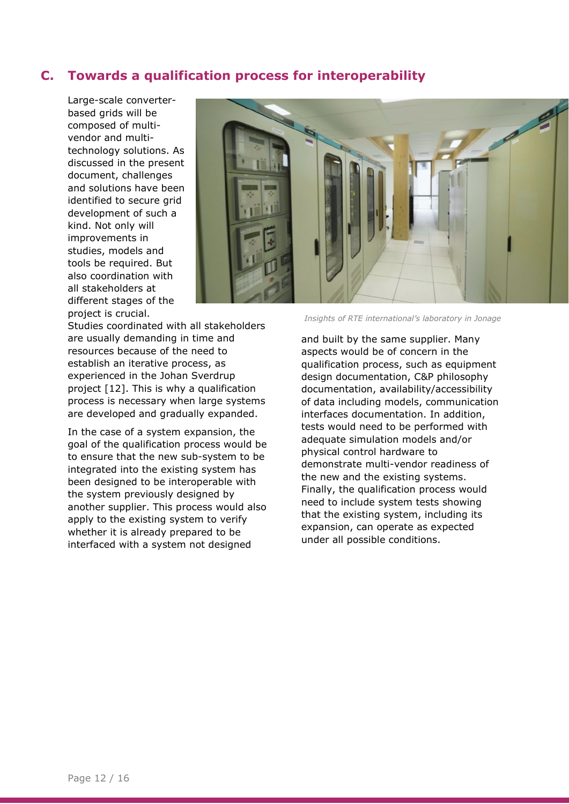#### **C. Towards a qualification process for interoperability**

Large-scale converterbased grids will be composed of multivendor and multitechnology solutions. As discussed in the present document, challenges and solutions have been identified to secure grid development of such a kind. Not only will improvements in studies, models and tools be required. But also coordination with all stakeholders at different stages of the project is crucial.

Studies coordinated with all stakeholders are usually demanding in time and resources because of the need to establish an iterative process, as experienced in the Johan Sverdrup project [\[12\].](#page-13-8) This is why a qualification process is necessary when large systems are developed and gradually expanded.

In the case of a system expansion, the goal of the qualification process would be to ensure that the new sub-system to be integrated into the existing system has been designed to be interoperable with the system previously designed by another supplier. This process would also apply to the existing system to verify whether it is already prepared to be interfaced with a system not designed

*Insights of RTE international's laboratory in Jonage*

and built by the same supplier. Many aspects would be of concern in the qualification process, such as equipment design documentation, C&P philosophy documentation, availability/accessibility of data including models, communication interfaces documentation. In addition, tests would need to be performed with adequate simulation models and/or physical control hardware to demonstrate multi-vendor readiness of the new and the existing systems. Finally, the qualification process would need to include system tests showing that the existing system, including its expansion, can operate as expected under all possible conditions.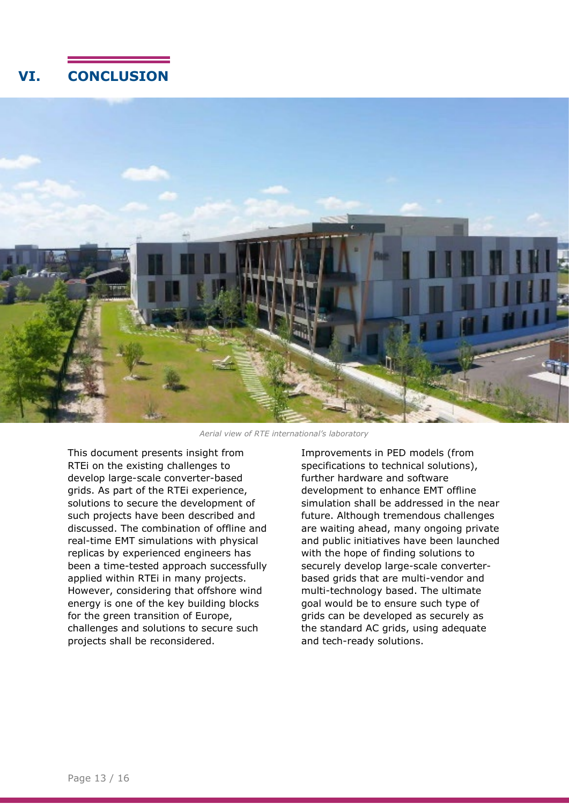# **VI. CONCLUSION**



*Aerial view of RTE international's laboratory*

This document presents insight from RTEi on the existing challenges to develop large-scale converter-based grids. As part of the RTEi experience, solutions to secure the development of such projects have been described and discussed. The combination of offline and real-time EMT simulations with physical replicas by experienced engineers has been a time-tested approach successfully applied within RTEi in many projects. However, considering that offshore wind energy is one of the key building blocks for the green transition of Europe, challenges and solutions to secure such projects shall be reconsidered.

Improvements in PED models (from specifications to technical solutions), further hardware and software development to enhance EMT offline simulation shall be addressed in the near future. Although tremendous challenges are waiting ahead, many ongoing private and public initiatives have been launched with the hope of finding solutions to securely develop large-scale converterbased grids that are multi-vendor and multi-technology based. The ultimate goal would be to ensure such type of grids can be developed as securely as the standard AC grids, using adequate and tech-ready solutions.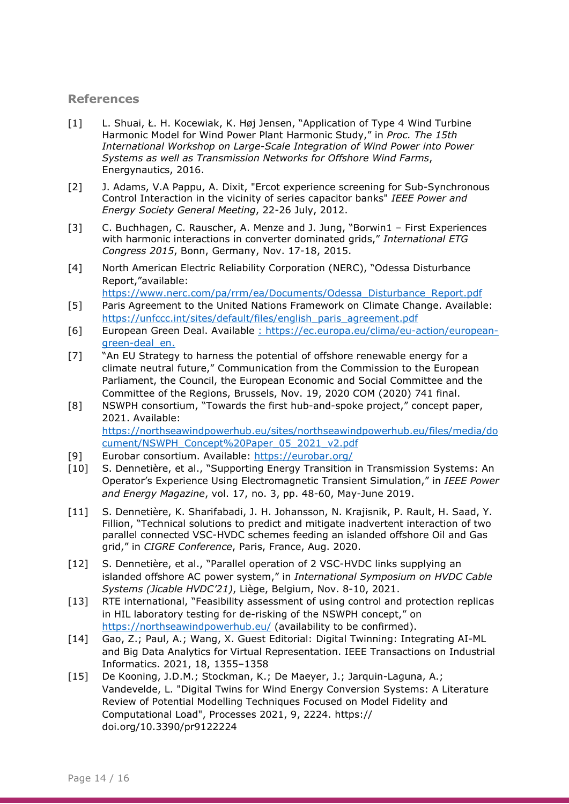#### **References**

- <span id="page-13-0"></span>[1] L. Shuai, Ł. H. Kocewiak, K. Høj Jensen, "Application of Type 4 Wind Turbine Harmonic Model for Wind Power Plant Harmonic Study," in *Proc. The 15th International Workshop on Large-Scale Integration of Wind Power into Power Systems as well as Transmission Networks for Offshore Wind Farms*, Energynautics, 2016.
- [2] J. Adams, V.A Pappu, A. Dixit, "Ercot experience screening for Sub-Synchronous Control Interaction in the vicinity of series capacitor banks" *IEEE Power and Energy Society General Meeting*, 22-26 July, 2012.
- [3] C. Buchhagen, C. Rauscher, A. Menze and J. Jung, "Borwin1 First Experiences with harmonic interactions in converter dominated grids," *International ETG Congress 2015*, Bonn, Germany, Nov. 17-18, 2015.
- <span id="page-13-1"></span>[4] North American Electric Reliability Corporation (NERC), "Odessa Disturbance Report,"available: [https://www.nerc.com/pa/rrm/ea/Documents/Odessa\\_Disturbance\\_Report.pdf](https://www.nerc.com/pa/rrm/ea/Documents/Odessa_Disturbance_Report.pdf)
- <span id="page-13-2"></span>[5] Paris Agreement to the United Nations Framework on Climate Change. Available: [https://unfccc.int/sites/default/files/english\\_paris\\_agreement.pdf](https://unfccc.int/sites/default/files/english_paris_agreement.pdf)
- <span id="page-13-3"></span>[6] European Green Deal. Available : https://ec.europa.eu/clima/eu-action/europeangreen-deal\_en.
- <span id="page-13-4"></span>[7] "An EU Strategy to harness the potential of offshore renewable energy for a climate neutral future," Communication from the Commission to the European Parliament, the Council, the European Economic and Social Committee and the Committee of the Regions, Brussels, Nov. 19, 2020 COM (2020) 741 final.
- <span id="page-13-5"></span>[8] NSWPH consortium, "Towards the first hub-and-spoke project," concept paper, 2021. Available: [https://northseawindpowerhub.eu/sites/northseawindpowerhub.eu/files/media/do](https://northseawindpowerhub.eu/sites/northseawindpowerhub.eu/files/media/document/NSWPH_Concept%20Paper_05_2021_v2.pdf) [cument/NSWPH\\_Concept%20Paper\\_05\\_2021\\_v2.pdf](https://northseawindpowerhub.eu/sites/northseawindpowerhub.eu/files/media/document/NSWPH_Concept%20Paper_05_2021_v2.pdf)
- <span id="page-13-6"></span>[9] Eurobar consortium. Available:<https://eurobar.org/>
- [10] S. Dennetière, et al., "Supporting Energy Transition in Transmission Systems: An Operator's Experience Using Electromagnetic Transient Simulation," in *IEEE Power and Energy Magazine*, vol. 17, no. 3, pp. 48-60, May-June 2019.
- <span id="page-13-7"></span>[11] S. Dennetière, K. Sharifabadi, J. H. Johansson, N. Krajisnik, P. Rault, H. Saad, Y. Fillion, "Technical solutions to predict and mitigate inadvertent interaction of two parallel connected VSC-HVDC schemes feeding an islanded offshore Oil and Gas grid," in *CIGRE Conference*, Paris, France, Aug. 2020.
- <span id="page-13-8"></span>[12] S. Dennetière, et al., "Parallel operation of 2 VSC-HVDC links supplying an islanded offshore AC power system," in *International Symposium on HVDC Cable Systems (Jicable HVDC'21)*, Liège, Belgium, Nov. 8-10, 2021.
- <span id="page-13-9"></span>[13] RTE international, "Feasibility assessment of using control and protection replicas in HIL laboratory testing for de-risking of the NSWPH concept," on <https://northseawindpowerhub.eu/> (availability to be confirmed).
- <span id="page-13-10"></span>[14] Gao, Z.; Paul, A.; Wang, X. Guest Editorial: Digital Twinning: Integrating AI-ML and Big Data Analytics for Virtual Representation. IEEE Transactions on Industrial Informatics. 2021, 18, 1355–1358
- [15] De Kooning, J.D.M.; Stockman, K.; De Maeyer, J.; Jarquin-Laguna, A.; Vandevelde, L. "Digital Twins for Wind Energy Conversion Systems: A Literature Review of Potential Modelling Techniques Focused on Model Fidelity and Computational Load", Processes 2021, 9, 2224. https:// doi.org/10.3390/pr9122224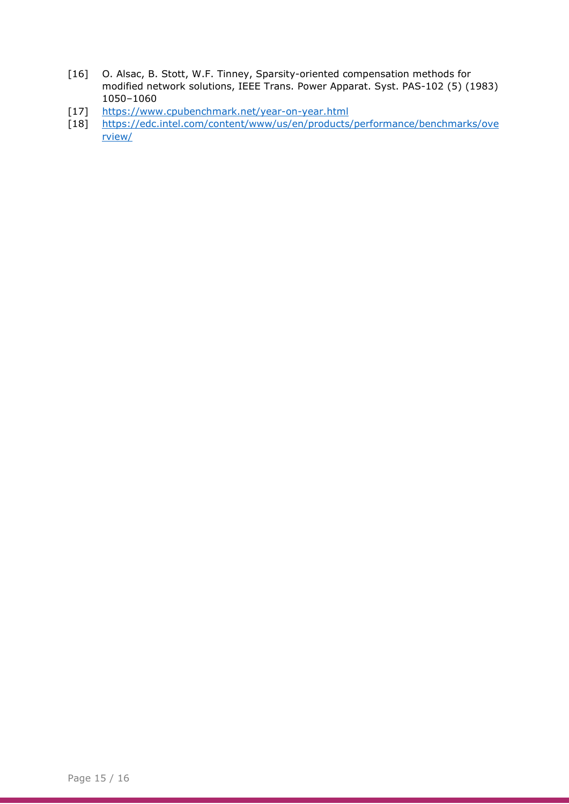- [16] O. Alsac, B. Stott, W.F. Tinney, Sparsity-oriented compensation methods for modified network solutions, IEEE Trans. Power Apparat. Syst. PAS-102 (5) (1983) 1050–1060
- <span id="page-14-0"></span>[17] <https://www.cpubenchmark.net/year-on-year.html>
- <span id="page-14-1"></span>[18] [https://edc.intel.com/content/www/us/en/products/performance/benchmarks/ove](https://edc.intel.com/content/www/us/en/products/performance/benchmarks/overview/) [rview/](https://edc.intel.com/content/www/us/en/products/performance/benchmarks/overview/)